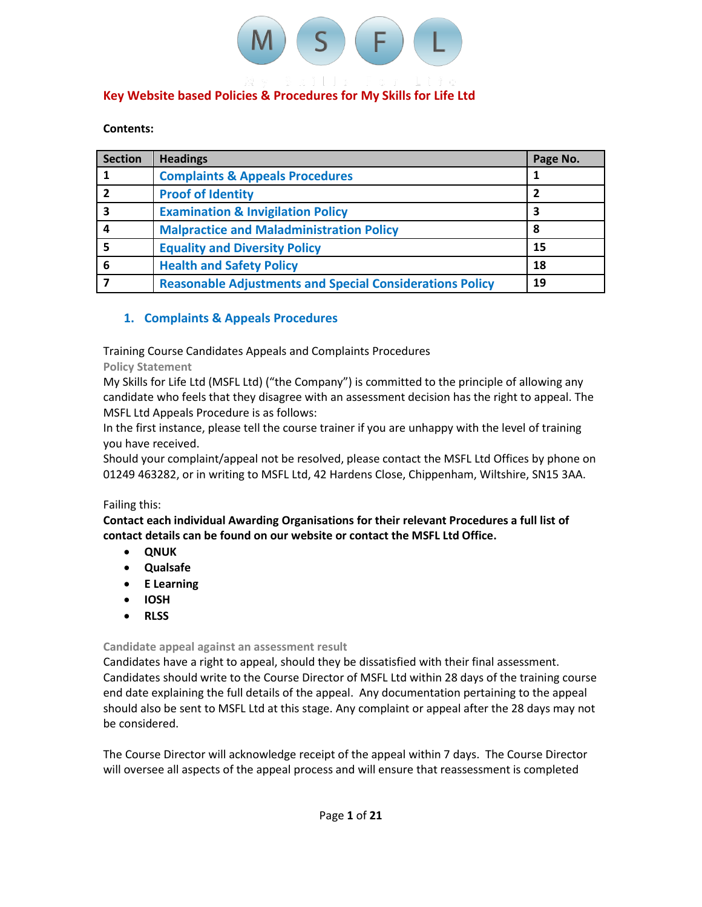

# **Key Website based Policies & Procedures for My Skills for Life Ltd**

#### **Contents:**

| <b>Section</b> | <b>Headings</b>                                                 | Page No. |
|----------------|-----------------------------------------------------------------|----------|
|                | <b>Complaints &amp; Appeals Procedures</b>                      |          |
|                | <b>Proof of Identity</b>                                        | 2        |
| 3              | <b>Examination &amp; Invigilation Policy</b>                    | 3        |
| 4              | <b>Malpractice and Maladministration Policy</b>                 | 8        |
|                | <b>Equality and Diversity Policy</b>                            | 15       |
| 6              | <b>Health and Safety Policy</b>                                 | 18       |
|                | <b>Reasonable Adjustments and Special Considerations Policy</b> | 19       |

# **1. Complaints & Appeals Procedures**

Training Course Candidates Appeals and Complaints Procedures

**Policy Statement**

My Skills for Life Ltd (MSFL Ltd) ("the Company") is committed to the principle of allowing any candidate who feels that they disagree with an assessment decision has the right to appeal. The MSFL Ltd Appeals Procedure is as follows:

In the first instance, please tell the course trainer if you are unhappy with the level of training you have received.

Should your complaint/appeal not be resolved, please contact the MSFL Ltd Offices by phone on 01249 463282, or in writing to MSFL Ltd, 42 Hardens Close, Chippenham, Wiltshire, SN15 3AA.

# Failing this:

**Contact each individual Awarding Organisations for their relevant Procedures a full list of contact details can be found on our website or contact the MSFL Ltd Office.**

- **QNUK**
- **Qualsafe**
- **E Learning**
- **IOSH**
- **RLSS**

# **Candidate appeal against an assessment result**

Candidates have a right to appeal, should they be dissatisfied with their final assessment. Candidates should write to the Course Director of MSFL Ltd within 28 days of the training course end date explaining the full details of the appeal. Any documentation pertaining to the appeal should also be sent to MSFL Ltd at this stage. Any complaint or appeal after the 28 days may not be considered.

The Course Director will acknowledge receipt of the appeal within 7 days. The Course Director will oversee all aspects of the appeal process and will ensure that reassessment is completed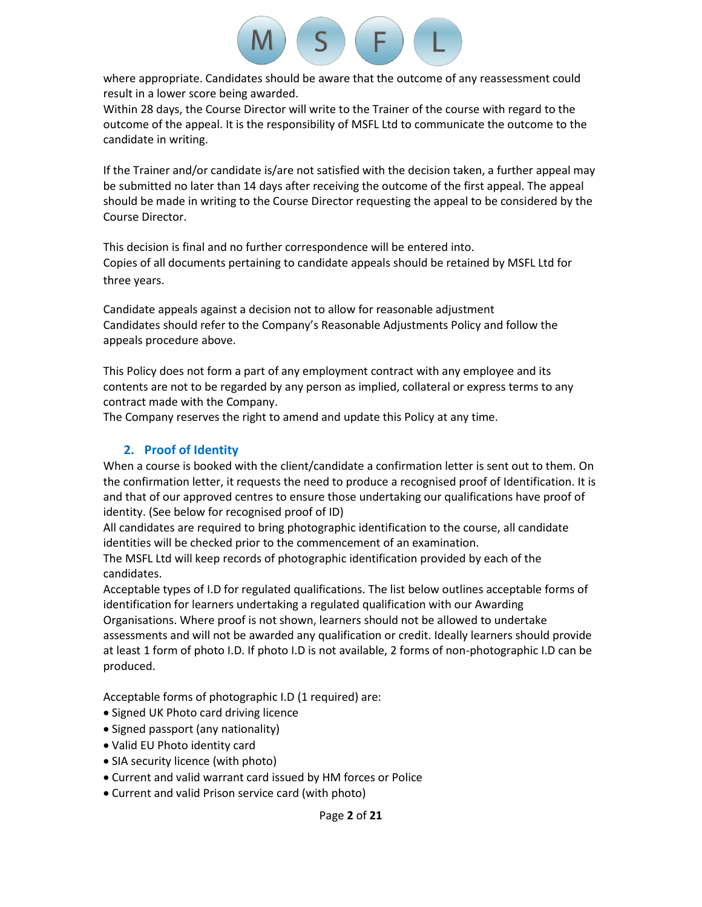

where appropriate. Candidates should be aware that the outcome of any reassessment could result in a lower score being awarded.

Within 28 days, the Course Director will write to the Trainer of the course with regard to the outcome of the appeal. It is the responsibility of MSFL Ltd to communicate the outcome to the candidate in writing.

If the Trainer and/or candidate is/are not satisfied with the decision taken, a further appeal may be submitted no later than 14 days after receiving the outcome of the first appeal. The appeal should be made in writing to the Course Director requesting the appeal to be considered by the Course Director.

This decision is final and no further correspondence will be entered into. Copies of all documents pertaining to candidate appeals should be retained by MSFL Ltd for three years.

Candidate appeals against a decision not to allow for reasonable adjustment Candidates should refer to the Company's Reasonable Adjustments Policy and follow the appeals procedure above.

This Policy does not form a part of any employment contract with any employee and its contents are not to be regarded by any person as implied, collateral or express terms to any contract made with the Company.

The Company reserves the right to amend and update this Policy at any time.

# **2. Proof of Identity**

When a course is booked with the client/candidate a confirmation letter is sent out to them. On the confirmation letter, it requests the need to produce a recognised proof of Identification. It is and that of our approved centres to ensure those undertaking our qualifications have proof of identity. (See below for recognised proof of ID)

All candidates are required to bring photographic identification to the course, all candidate identities will be checked prior to the commencement of an examination.

The MSFL Ltd will keep records of photographic identification provided by each of the candidates.

Acceptable types of I.D for regulated qualifications. The list below outlines acceptable forms of identification for learners undertaking a regulated qualification with our Awarding Organisations. Where proof is not shown, learners should not be allowed to undertake assessments and will not be awarded any qualification or credit. Ideally learners should provide at least 1 form of photo I.D. If photo I.D is not available, 2 forms of non-photographic I.D can be produced.

Acceptable forms of photographic I.D (1 required) are:

- Signed UK Photo card driving licence
- Signed passport (any nationality)
- Valid EU Photo identity card
- SIA security licence (with photo)
- Current and valid warrant card issued by HM forces or Police
- Current and valid Prison service card (with photo)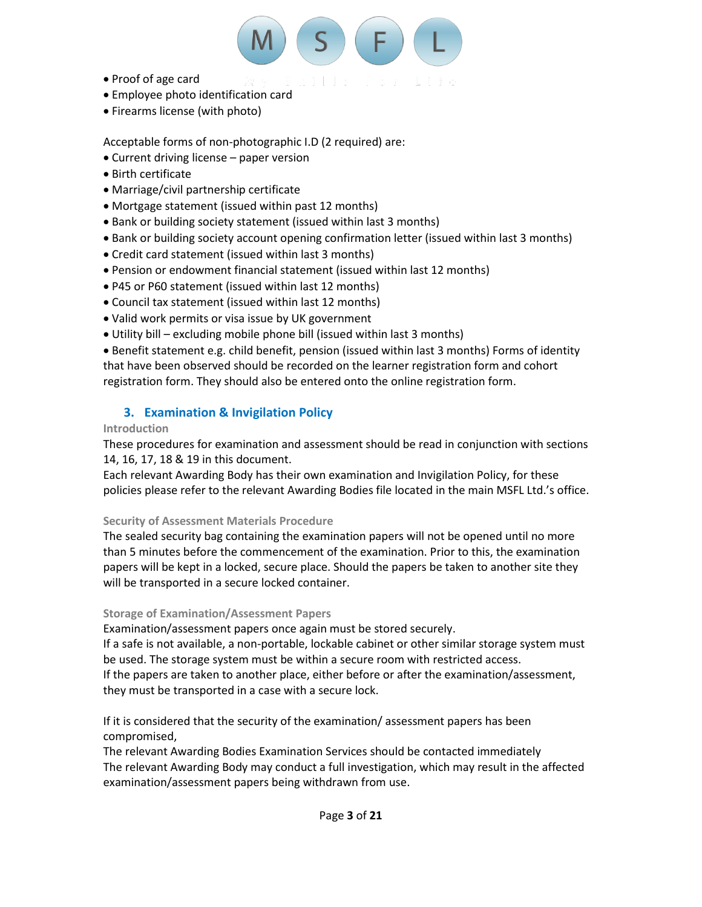

- Proof of age card
- Employee photo identification card
- Firearms license (with photo)

Acceptable forms of non-photographic I.D (2 required) are:

- Current driving license paper version
- Birth certificate
- Marriage/civil partnership certificate
- Mortgage statement (issued within past 12 months)
- Bank or building society statement (issued within last 3 months)
- Bank or building society account opening confirmation letter (issued within last 3 months)
- Credit card statement (issued within last 3 months)
- Pension or endowment financial statement (issued within last 12 months)
- P45 or P60 statement (issued within last 12 months)
- Council tax statement (issued within last 12 months)
- Valid work permits or visa issue by UK government
- Utility bill excluding mobile phone bill (issued within last 3 months)

• Benefit statement e.g. child benefit, pension (issued within last 3 months) Forms of identity that have been observed should be recorded on the learner registration form and cohort registration form. They should also be entered onto the online registration form.

# **3. Examination & Invigilation Policy**

# **Introduction**

These procedures for examination and assessment should be read in conjunction with sections 14, 16, 17, 18 & 19 in this document.

Each relevant Awarding Body has their own examination and Invigilation Policy, for these policies please refer to the relevant Awarding Bodies file located in the main MSFL Ltd.'s office.

# **Security of Assessment Materials Procedure**

The sealed security bag containing the examination papers will not be opened until no more than 5 minutes before the commencement of the examination. Prior to this, the examination papers will be kept in a locked, secure place. Should the papers be taken to another site they will be transported in a secure locked container.

# **Storage of Examination/Assessment Papers**

Examination/assessment papers once again must be stored securely.

If a safe is not available, a non-portable, lockable cabinet or other similar storage system must be used. The storage system must be within a secure room with restricted access.

If the papers are taken to another place, either before or after the examination/assessment, they must be transported in a case with a secure lock.

If it is considered that the security of the examination/ assessment papers has been compromised,

The relevant Awarding Bodies Examination Services should be contacted immediately The relevant Awarding Body may conduct a full investigation, which may result in the affected examination/assessment papers being withdrawn from use.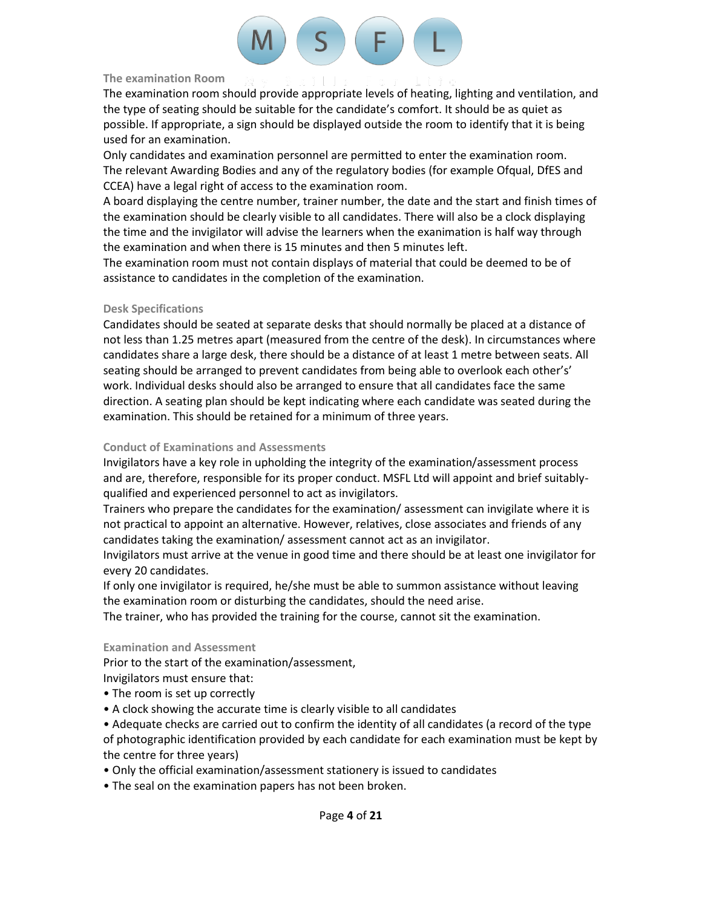

#### **The examination Room**

The examination room should provide appropriate levels of heating, lighting and ventilation, and the type of seating should be suitable for the candidate's comfort. It should be as quiet as possible. If appropriate, a sign should be displayed outside the room to identify that it is being used for an examination.

Only candidates and examination personnel are permitted to enter the examination room. The relevant Awarding Bodies and any of the regulatory bodies (for example Ofqual, DfES and CCEA) have a legal right of access to the examination room.

A board displaying the centre number, trainer number, the date and the start and finish times of the examination should be clearly visible to all candidates. There will also be a clock displaying the time and the invigilator will advise the learners when the exanimation is half way through the examination and when there is 15 minutes and then 5 minutes left.

The examination room must not contain displays of material that could be deemed to be of assistance to candidates in the completion of the examination.

# **Desk Specifications**

Candidates should be seated at separate desks that should normally be placed at a distance of not less than 1.25 metres apart (measured from the centre of the desk). In circumstances where candidates share a large desk, there should be a distance of at least 1 metre between seats. All seating should be arranged to prevent candidates from being able to overlook each other's' work. Individual desks should also be arranged to ensure that all candidates face the same direction. A seating plan should be kept indicating where each candidate was seated during the examination. This should be retained for a minimum of three years.

# **Conduct of Examinations and Assessments**

Invigilators have a key role in upholding the integrity of the examination/assessment process and are, therefore, responsible for its proper conduct. MSFL Ltd will appoint and brief suitablyqualified and experienced personnel to act as invigilators.

Trainers who prepare the candidates for the examination/ assessment can invigilate where it is not practical to appoint an alternative. However, relatives, close associates and friends of any candidates taking the examination/ assessment cannot act as an invigilator.

Invigilators must arrive at the venue in good time and there should be at least one invigilator for every 20 candidates.

If only one invigilator is required, he/she must be able to summon assistance without leaving the examination room or disturbing the candidates, should the need arise.

The trainer, who has provided the training for the course, cannot sit the examination.

# **Examination and Assessment**

Prior to the start of the examination/assessment,

- Invigilators must ensure that:
- The room is set up correctly
- A clock showing the accurate time is clearly visible to all candidates
- Adequate checks are carried out to confirm the identity of all candidates (a record of the type of photographic identification provided by each candidate for each examination must be kept by the centre for three years)
- Only the official examination/assessment stationery is issued to candidates
- The seal on the examination papers has not been broken.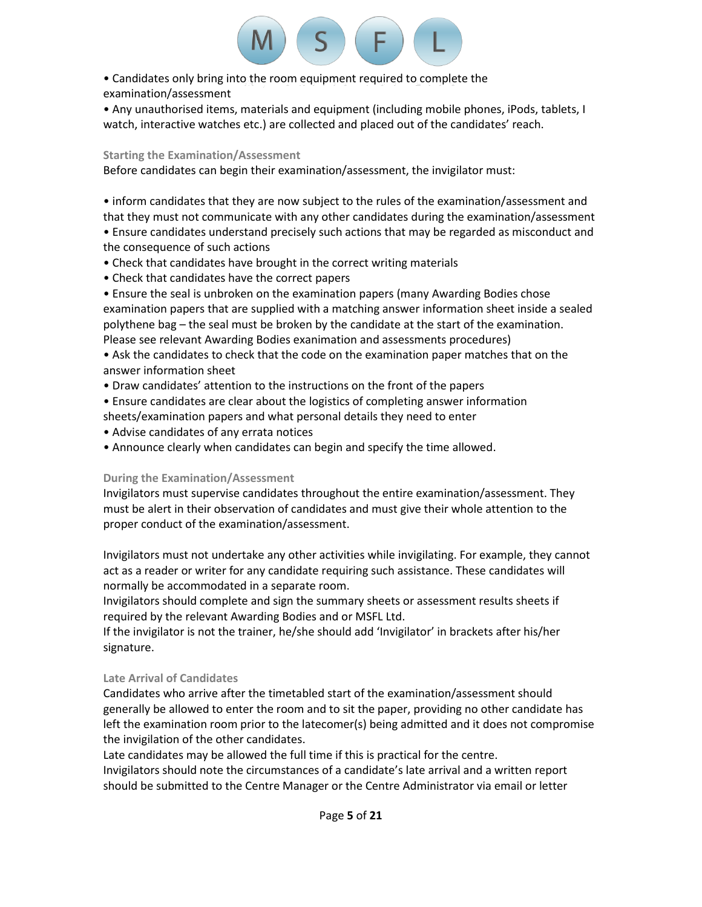

• Candidates only bring into the room equipment required to complete the examination/assessment

• Any unauthorised items, materials and equipment (including mobile phones, iPods, tablets, I watch, interactive watches etc.) are collected and placed out of the candidates' reach.

# **Starting the Examination/Assessment**

Before candidates can begin their examination/assessment, the invigilator must:

• inform candidates that they are now subject to the rules of the examination/assessment and that they must not communicate with any other candidates during the examination/assessment

• Ensure candidates understand precisely such actions that may be regarded as misconduct and the consequence of such actions

- Check that candidates have brought in the correct writing materials
- Check that candidates have the correct papers

• Ensure the seal is unbroken on the examination papers (many Awarding Bodies chose examination papers that are supplied with a matching answer information sheet inside a sealed polythene bag – the seal must be broken by the candidate at the start of the examination. Please see relevant Awarding Bodies exanimation and assessments procedures)

• Ask the candidates to check that the code on the examination paper matches that on the answer information sheet

- Draw candidates' attention to the instructions on the front of the papers
- Ensure candidates are clear about the logistics of completing answer information
- sheets/examination papers and what personal details they need to enter
- Advise candidates of any errata notices
- Announce clearly when candidates can begin and specify the time allowed.

# **During the Examination/Assessment**

Invigilators must supervise candidates throughout the entire examination/assessment. They must be alert in their observation of candidates and must give their whole attention to the proper conduct of the examination/assessment.

Invigilators must not undertake any other activities while invigilating. For example, they cannot act as a reader or writer for any candidate requiring such assistance. These candidates will normally be accommodated in a separate room.

Invigilators should complete and sign the summary sheets or assessment results sheets if required by the relevant Awarding Bodies and or MSFL Ltd.

If the invigilator is not the trainer, he/she should add 'Invigilator' in brackets after his/her signature.

# **Late Arrival of Candidates**

Candidates who arrive after the timetabled start of the examination/assessment should generally be allowed to enter the room and to sit the paper, providing no other candidate has left the examination room prior to the latecomer(s) being admitted and it does not compromise the invigilation of the other candidates.

Late candidates may be allowed the full time if this is practical for the centre. Invigilators should note the circumstances of a candidate's late arrival and a written report should be submitted to the Centre Manager or the Centre Administrator via email or letter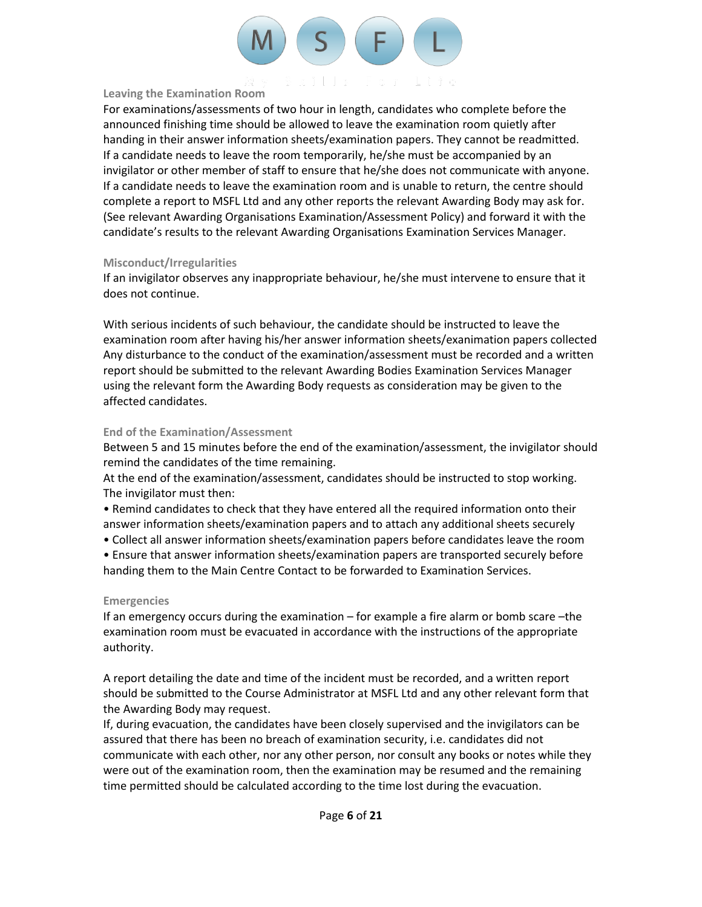

#### **Leaving the Examination Room**

For examinations/assessments of two hour in length, candidates who complete before the announced finishing time should be allowed to leave the examination room quietly after handing in their answer information sheets/examination papers. They cannot be readmitted. If a candidate needs to leave the room temporarily, he/she must be accompanied by an invigilator or other member of staff to ensure that he/she does not communicate with anyone. If a candidate needs to leave the examination room and is unable to return, the centre should complete a report to MSFL Ltd and any other reports the relevant Awarding Body may ask for. (See relevant Awarding Organisations Examination/Assessment Policy) and forward it with the candidate's results to the relevant Awarding Organisations Examination Services Manager.

### **Misconduct/Irregularities**

If an invigilator observes any inappropriate behaviour, he/she must intervene to ensure that it does not continue.

With serious incidents of such behaviour, the candidate should be instructed to leave the examination room after having his/her answer information sheets/exanimation papers collected Any disturbance to the conduct of the examination/assessment must be recorded and a written report should be submitted to the relevant Awarding Bodies Examination Services Manager using the relevant form the Awarding Body requests as consideration may be given to the affected candidates.

# **End of the Examination/Assessment**

Between 5 and 15 minutes before the end of the examination/assessment, the invigilator should remind the candidates of the time remaining.

At the end of the examination/assessment, candidates should be instructed to stop working. The invigilator must then:

- Remind candidates to check that they have entered all the required information onto their answer information sheets/examination papers and to attach any additional sheets securely
- Collect all answer information sheets/examination papers before candidates leave the room
- Ensure that answer information sheets/examination papers are transported securely before handing them to the Main Centre Contact to be forwarded to Examination Services.

# **Emergencies**

If an emergency occurs during the examination – for example a fire alarm or bomb scare –the examination room must be evacuated in accordance with the instructions of the appropriate authority.

A report detailing the date and time of the incident must be recorded, and a written report should be submitted to the Course Administrator at MSFL Ltd and any other relevant form that the Awarding Body may request.

If, during evacuation, the candidates have been closely supervised and the invigilators can be assured that there has been no breach of examination security, i.e. candidates did not communicate with each other, nor any other person, nor consult any books or notes while they were out of the examination room, then the examination may be resumed and the remaining time permitted should be calculated according to the time lost during the evacuation.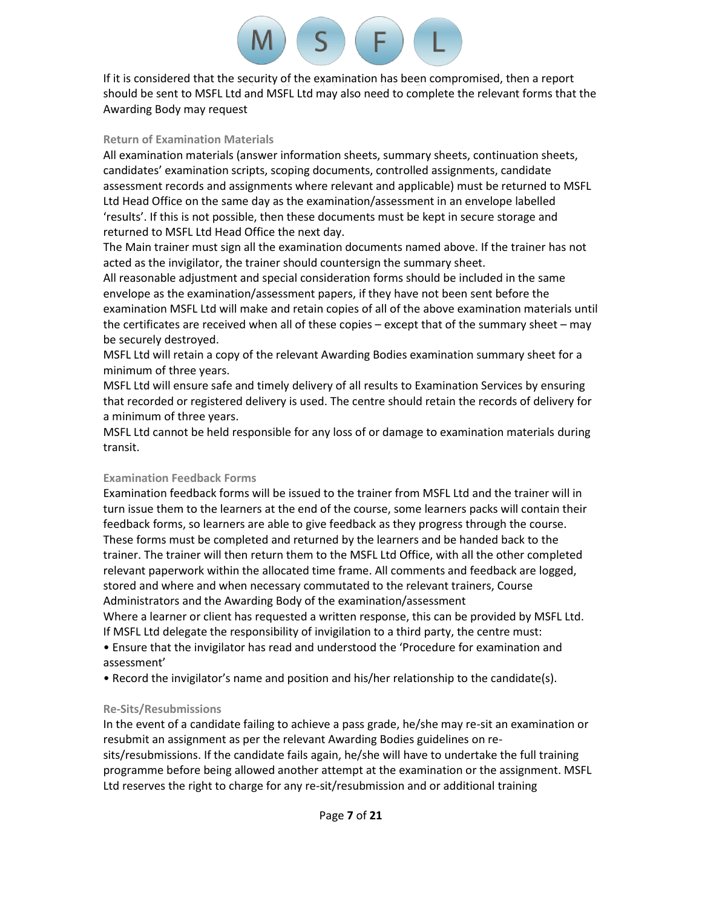

If it is considered that the security of the examination has been compromised, then a report should be sent to MSFL Ltd and MSFL Ltd may also need to complete the relevant forms that the Awarding Body may request

#### **Return of Examination Materials**

All examination materials (answer information sheets, summary sheets, continuation sheets, candidates' examination scripts, scoping documents, controlled assignments, candidate assessment records and assignments where relevant and applicable) must be returned to MSFL Ltd Head Office on the same day as the examination/assessment in an envelope labelled 'results'. If this is not possible, then these documents must be kept in secure storage and returned to MSFL Ltd Head Office the next day.

The Main trainer must sign all the examination documents named above. If the trainer has not acted as the invigilator, the trainer should countersign the summary sheet.

All reasonable adjustment and special consideration forms should be included in the same envelope as the examination/assessment papers, if they have not been sent before the examination MSFL Ltd will make and retain copies of all of the above examination materials until the certificates are received when all of these copies – except that of the summary sheet – may be securely destroyed.

MSFL Ltd will retain a copy of the relevant Awarding Bodies examination summary sheet for a minimum of three years.

MSFL Ltd will ensure safe and timely delivery of all results to Examination Services by ensuring that recorded or registered delivery is used. The centre should retain the records of delivery for a minimum of three years.

MSFL Ltd cannot be held responsible for any loss of or damage to examination materials during transit.

# **Examination Feedback Forms**

Examination feedback forms will be issued to the trainer from MSFL Ltd and the trainer will in turn issue them to the learners at the end of the course, some learners packs will contain their feedback forms, so learners are able to give feedback as they progress through the course. These forms must be completed and returned by the learners and be handed back to the trainer. The trainer will then return them to the MSFL Ltd Office, with all the other completed relevant paperwork within the allocated time frame. All comments and feedback are logged, stored and where and when necessary commutated to the relevant trainers, Course Administrators and the Awarding Body of the examination/assessment

Where a learner or client has requested a written response, this can be provided by MSFL Ltd. If MSFL Ltd delegate the responsibility of invigilation to a third party, the centre must:

• Ensure that the invigilator has read and understood the 'Procedure for examination and assessment'

• Record the invigilator's name and position and his/her relationship to the candidate(s).

# **Re-Sits/Resubmissions**

In the event of a candidate failing to achieve a pass grade, he/she may re-sit an examination or resubmit an assignment as per the relevant Awarding Bodies guidelines on resits/resubmissions. If the candidate fails again, he/she will have to undertake the full training programme before being allowed another attempt at the examination or the assignment. MSFL Ltd reserves the right to charge for any re-sit/resubmission and or additional training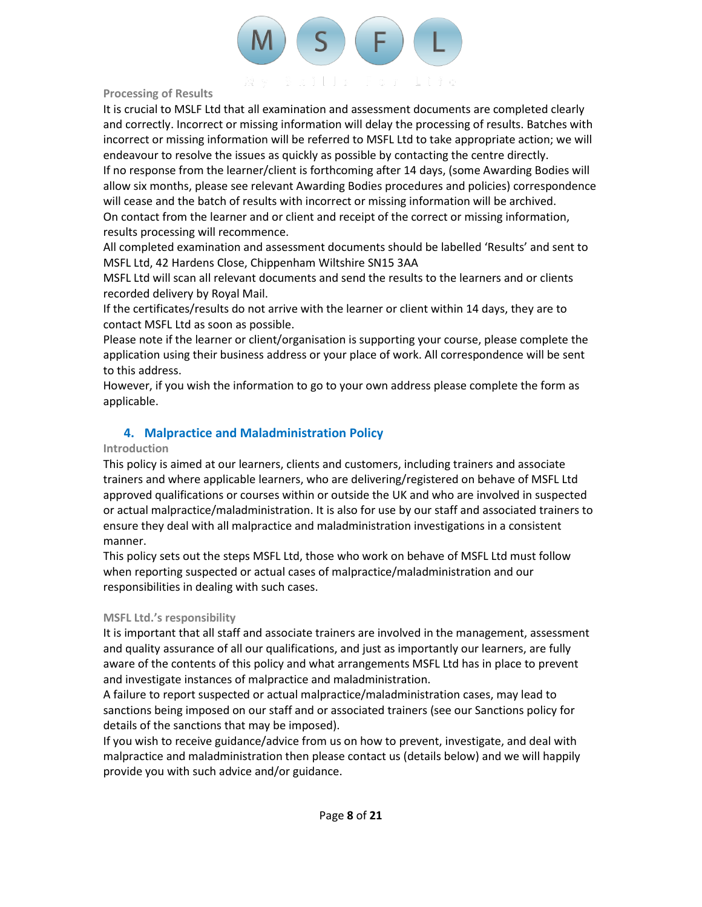

## **Processing of Results**

It is crucial to MSLF Ltd that all examination and assessment documents are completed clearly and correctly. Incorrect or missing information will delay the processing of results. Batches with incorrect or missing information will be referred to MSFL Ltd to take appropriate action; we will endeavour to resolve the issues as quickly as possible by contacting the centre directly.

If no response from the learner/client is forthcoming after 14 days, (some Awarding Bodies will allow six months, please see relevant Awarding Bodies procedures and policies) correspondence will cease and the batch of results with incorrect or missing information will be archived. On contact from the learner and or client and receipt of the correct or missing information,

results processing will recommence.

All completed examination and assessment documents should be labelled 'Results' and sent to MSFL Ltd, 42 Hardens Close, Chippenham Wiltshire SN15 3AA

MSFL Ltd will scan all relevant documents and send the results to the learners and or clients recorded delivery by Royal Mail.

If the certificates/results do not arrive with the learner or client within 14 days, they are to contact MSFL Ltd as soon as possible.

Please note if the learner or client/organisation is supporting your course, please complete the application using their business address or your place of work. All correspondence will be sent to this address.

However, if you wish the information to go to your own address please complete the form as applicable.

# **4. Malpractice and Maladministration Policy**

# **Introduction**

This policy is aimed at our learners, clients and customers, including trainers and associate trainers and where applicable learners, who are delivering/registered on behave of MSFL Ltd approved qualifications or courses within or outside the UK and who are involved in suspected or actual malpractice/maladministration. It is also for use by our staff and associated trainers to ensure they deal with all malpractice and maladministration investigations in a consistent manner.

This policy sets out the steps MSFL Ltd, those who work on behave of MSFL Ltd must follow when reporting suspected or actual cases of malpractice/maladministration and our responsibilities in dealing with such cases.

# **MSFL Ltd.'s responsibility**

It is important that all staff and associate trainers are involved in the management, assessment and quality assurance of all our qualifications, and just as importantly our learners, are fully aware of the contents of this policy and what arrangements MSFL Ltd has in place to prevent and investigate instances of malpractice and maladministration.

A failure to report suspected or actual malpractice/maladministration cases, may lead to sanctions being imposed on our staff and or associated trainers (see our Sanctions policy for details of the sanctions that may be imposed).

If you wish to receive guidance/advice from us on how to prevent, investigate, and deal with malpractice and maladministration then please contact us (details below) and we will happily provide you with such advice and/or guidance.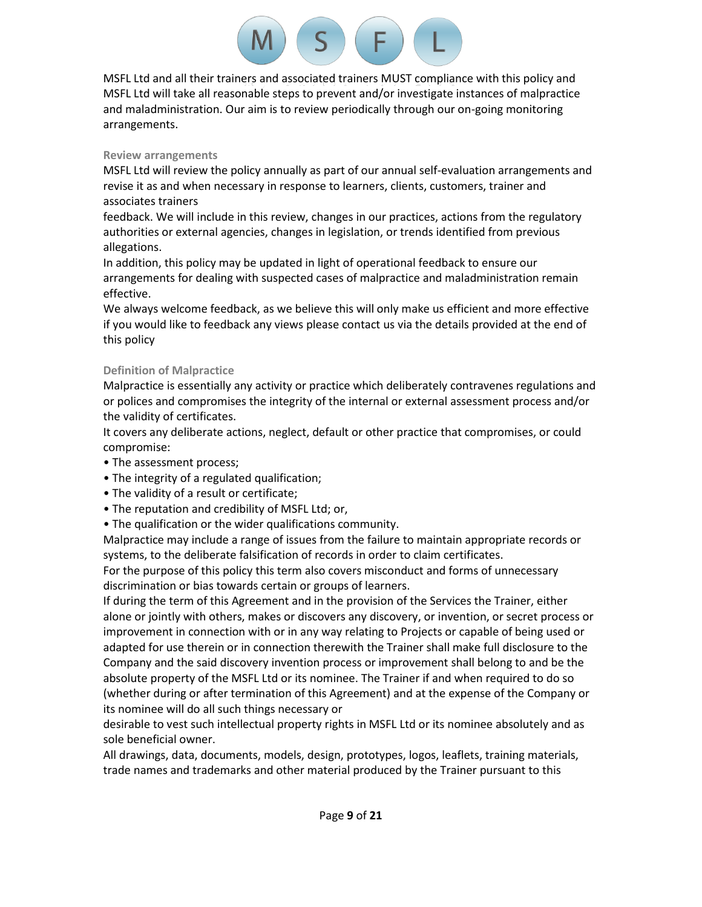MSFL Ltd and all their trainers and associated trainers MUST compliance with this policy and MSFL Ltd will take all reasonable steps to prevent and/or investigate instances of malpractice and maladministration. Our aim is to review periodically through our on-going monitoring arrangements.

 $S$   $(F)$ 

# **Review arrangements**

MSFL Ltd will review the policy annually as part of our annual self-evaluation arrangements and revise it as and when necessary in response to learners, clients, customers, trainer and associates trainers

feedback. We will include in this review, changes in our practices, actions from the regulatory authorities or external agencies, changes in legislation, or trends identified from previous allegations.

In addition, this policy may be updated in light of operational feedback to ensure our arrangements for dealing with suspected cases of malpractice and maladministration remain effective.

We always welcome feedback, as we believe this will only make us efficient and more effective if you would like to feedback any views please contact us via the details provided at the end of this policy

# **Definition of Malpractice**

Malpractice is essentially any activity or practice which deliberately contravenes regulations and or polices and compromises the integrity of the internal or external assessment process and/or the validity of certificates.

It covers any deliberate actions, neglect, default or other practice that compromises, or could compromise:

- The assessment process;
- The integrity of a regulated qualification;
- The validity of a result or certificate;
- The reputation and credibility of MSFL Ltd; or,
- The qualification or the wider qualifications community.

Malpractice may include a range of issues from the failure to maintain appropriate records or systems, to the deliberate falsification of records in order to claim certificates.

For the purpose of this policy this term also covers misconduct and forms of unnecessary discrimination or bias towards certain or groups of learners.

If during the term of this Agreement and in the provision of the Services the Trainer, either alone or jointly with others, makes or discovers any discovery, or invention, or secret process or improvement in connection with or in any way relating to Projects or capable of being used or adapted for use therein or in connection therewith the Trainer shall make full disclosure to the Company and the said discovery invention process or improvement shall belong to and be the absolute property of the MSFL Ltd or its nominee. The Trainer if and when required to do so (whether during or after termination of this Agreement) and at the expense of the Company or its nominee will do all such things necessary or

desirable to vest such intellectual property rights in MSFL Ltd or its nominee absolutely and as sole beneficial owner.

All drawings, data, documents, models, design, prototypes, logos, leaflets, training materials, trade names and trademarks and other material produced by the Trainer pursuant to this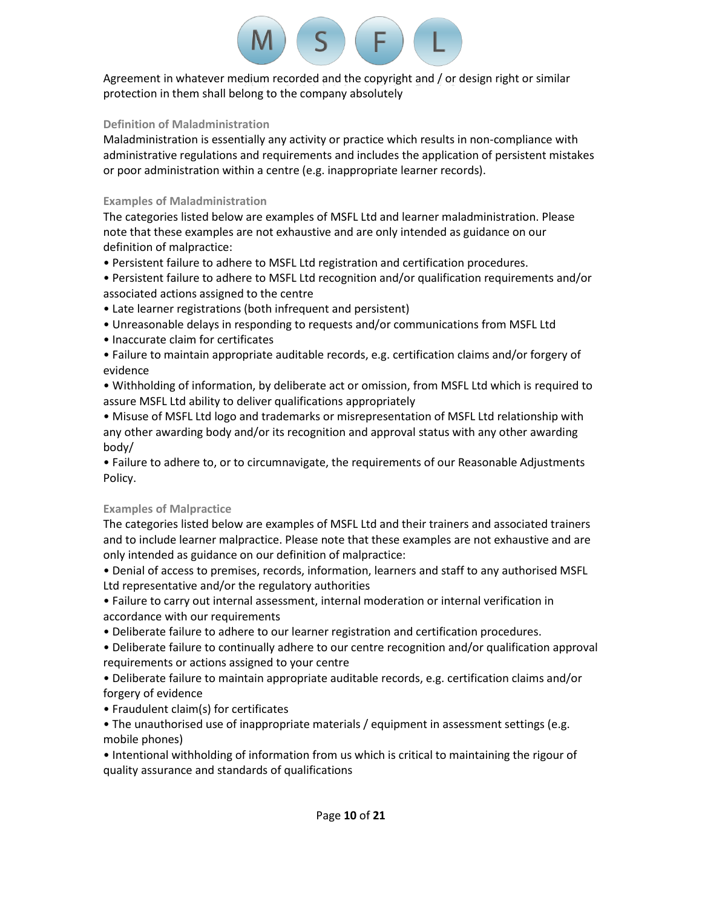

Agreement in whatever medium recorded and the copyright and / or design right or similar protection in them shall belong to the company absolutely

# **Definition of Maladministration**

Maladministration is essentially any activity or practice which results in non-compliance with administrative regulations and requirements and includes the application of persistent mistakes or poor administration within a centre (e.g. inappropriate learner records).

# **Examples of Maladministration**

The categories listed below are examples of MSFL Ltd and learner maladministration. Please note that these examples are not exhaustive and are only intended as guidance on our definition of malpractice:

• Persistent failure to adhere to MSFL Ltd registration and certification procedures.

• Persistent failure to adhere to MSFL Ltd recognition and/or qualification requirements and/or associated actions assigned to the centre

- Late learner registrations (both infrequent and persistent)
- Unreasonable delays in responding to requests and/or communications from MSFL Ltd
- Inaccurate claim for certificates
- Failure to maintain appropriate auditable records, e.g. certification claims and/or forgery of evidence

• Withholding of information, by deliberate act or omission, from MSFL Ltd which is required to assure MSFL Ltd ability to deliver qualifications appropriately

• Misuse of MSFL Ltd logo and trademarks or misrepresentation of MSFL Ltd relationship with any other awarding body and/or its recognition and approval status with any other awarding body/

• Failure to adhere to, or to circumnavigate, the requirements of our Reasonable Adjustments Policy.

# **Examples of Malpractice**

The categories listed below are examples of MSFL Ltd and their trainers and associated trainers and to include learner malpractice. Please note that these examples are not exhaustive and are only intended as guidance on our definition of malpractice:

• Denial of access to premises, records, information, learners and staff to any authorised MSFL Ltd representative and/or the regulatory authorities

• Failure to carry out internal assessment, internal moderation or internal verification in accordance with our requirements

• Deliberate failure to adhere to our learner registration and certification procedures.

• Deliberate failure to continually adhere to our centre recognition and/or qualification approval requirements or actions assigned to your centre

• Deliberate failure to maintain appropriate auditable records, e.g. certification claims and/or forgery of evidence

• Fraudulent claim(s) for certificates

• The unauthorised use of inappropriate materials / equipment in assessment settings (e.g. mobile phones)

• Intentional withholding of information from us which is critical to maintaining the rigour of quality assurance and standards of qualifications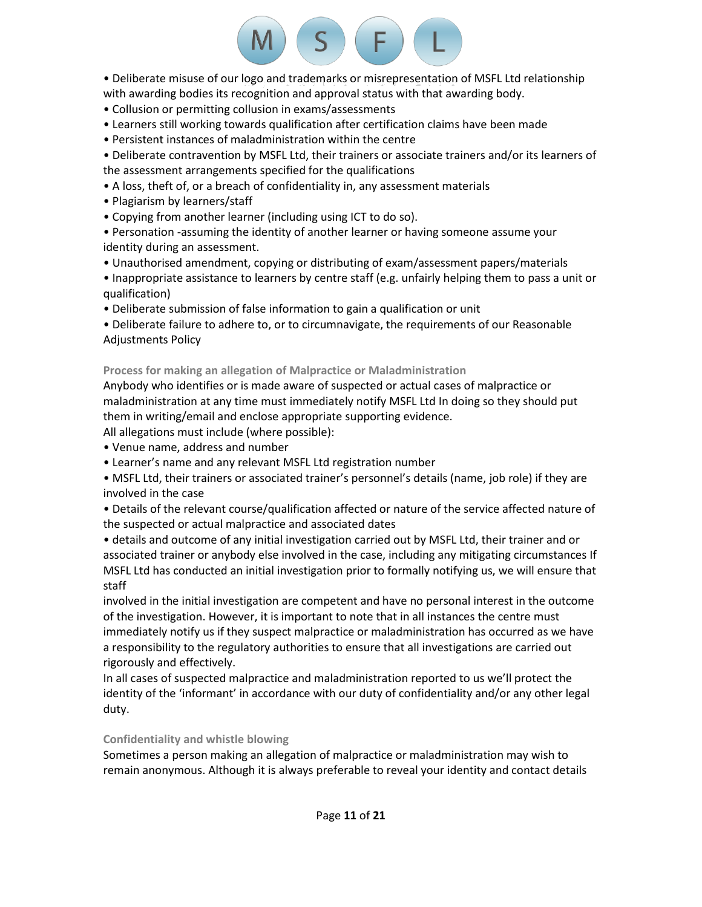• Deliberate misuse of our logo and trademarks or misrepresentation of MSFL Ltd relationship with awarding bodies its recognition and approval status with that awarding body.

 $S$   $(F)$ 

- Collusion or permitting collusion in exams/assessments
- Learners still working towards qualification after certification claims have been made
- Persistent instances of maladministration within the centre

• Deliberate contravention by MSFL Ltd, their trainers or associate trainers and/or its learners of the assessment arrangements specified for the qualifications

- A loss, theft of, or a breach of confidentiality in, any assessment materials
- Plagiarism by learners/staff
- Copying from another learner (including using ICT to do so).

• Personation -assuming the identity of another learner or having someone assume your identity during an assessment.

• Unauthorised amendment, copying or distributing of exam/assessment papers/materials

• Inappropriate assistance to learners by centre staff (e.g. unfairly helping them to pass a unit or qualification)

• Deliberate submission of false information to gain a qualification or unit

• Deliberate failure to adhere to, or to circumnavigate, the requirements of our Reasonable Adjustments Policy

**Process for making an allegation of Malpractice or Maladministration**

Anybody who identifies or is made aware of suspected or actual cases of malpractice or maladministration at any time must immediately notify MSFL Ltd In doing so they should put them in writing/email and enclose appropriate supporting evidence.

All allegations must include (where possible):

• Venue name, address and number

• Learner's name and any relevant MSFL Ltd registration number

• MSFL Ltd, their trainers or associated trainer's personnel's details (name, job role) if they are involved in the case

• Details of the relevant course/qualification affected or nature of the service affected nature of the suspected or actual malpractice and associated dates

• details and outcome of any initial investigation carried out by MSFL Ltd, their trainer and or associated trainer or anybody else involved in the case, including any mitigating circumstances If MSFL Ltd has conducted an initial investigation prior to formally notifying us, we will ensure that staff

involved in the initial investigation are competent and have no personal interest in the outcome of the investigation. However, it is important to note that in all instances the centre must immediately notify us if they suspect malpractice or maladministration has occurred as we have a responsibility to the regulatory authorities to ensure that all investigations are carried out rigorously and effectively.

In all cases of suspected malpractice and maladministration reported to us we'll protect the identity of the 'informant' in accordance with our duty of confidentiality and/or any other legal duty.

# **Confidentiality and whistle blowing**

Sometimes a person making an allegation of malpractice or maladministration may wish to remain anonymous. Although it is always preferable to reveal your identity and contact details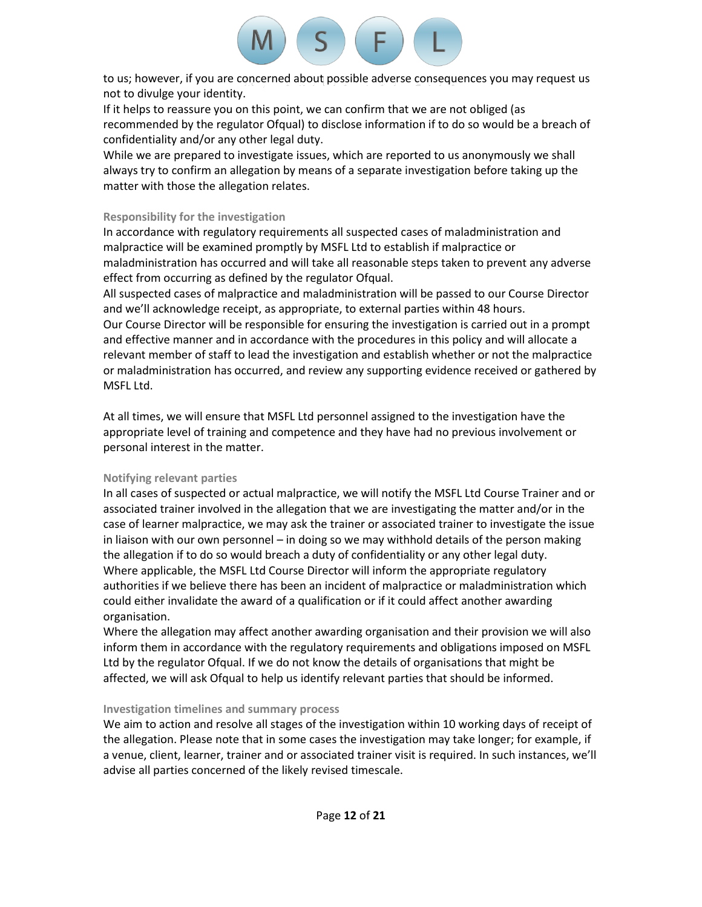

to us; however, if you are concerned about possible adverse consequences you may request us not to divulge your identity.

If it helps to reassure you on this point, we can confirm that we are not obliged (as recommended by the regulator Ofqual) to disclose information if to do so would be a breach of confidentiality and/or any other legal duty.

While we are prepared to investigate issues, which are reported to us anonymously we shall always try to confirm an allegation by means of a separate investigation before taking up the matter with those the allegation relates.

# **Responsibility for the investigation**

In accordance with regulatory requirements all suspected cases of maladministration and malpractice will be examined promptly by MSFL Ltd to establish if malpractice or maladministration has occurred and will take all reasonable steps taken to prevent any adverse effect from occurring as defined by the regulator Ofqual.

All suspected cases of malpractice and maladministration will be passed to our Course Director and we'll acknowledge receipt, as appropriate, to external parties within 48 hours.

Our Course Director will be responsible for ensuring the investigation is carried out in a prompt and effective manner and in accordance with the procedures in this policy and will allocate a relevant member of staff to lead the investigation and establish whether or not the malpractice or maladministration has occurred, and review any supporting evidence received or gathered by MSFL Ltd.

At all times, we will ensure that MSFL Ltd personnel assigned to the investigation have the appropriate level of training and competence and they have had no previous involvement or personal interest in the matter.

# **Notifying relevant parties**

In all cases of suspected or actual malpractice, we will notify the MSFL Ltd Course Trainer and or associated trainer involved in the allegation that we are investigating the matter and/or in the case of learner malpractice, we may ask the trainer or associated trainer to investigate the issue in liaison with our own personnel – in doing so we may withhold details of the person making the allegation if to do so would breach a duty of confidentiality or any other legal duty. Where applicable, the MSFL Ltd Course Director will inform the appropriate regulatory authorities if we believe there has been an incident of malpractice or maladministration which could either invalidate the award of a qualification or if it could affect another awarding organisation.

Where the allegation may affect another awarding organisation and their provision we will also inform them in accordance with the regulatory requirements and obligations imposed on MSFL Ltd by the regulator Ofqual. If we do not know the details of organisations that might be affected, we will ask Ofqual to help us identify relevant parties that should be informed.

# **Investigation timelines and summary process**

We aim to action and resolve all stages of the investigation within 10 working days of receipt of the allegation. Please note that in some cases the investigation may take longer; for example, if a venue, client, learner, trainer and or associated trainer visit is required. In such instances, we'll advise all parties concerned of the likely revised timescale.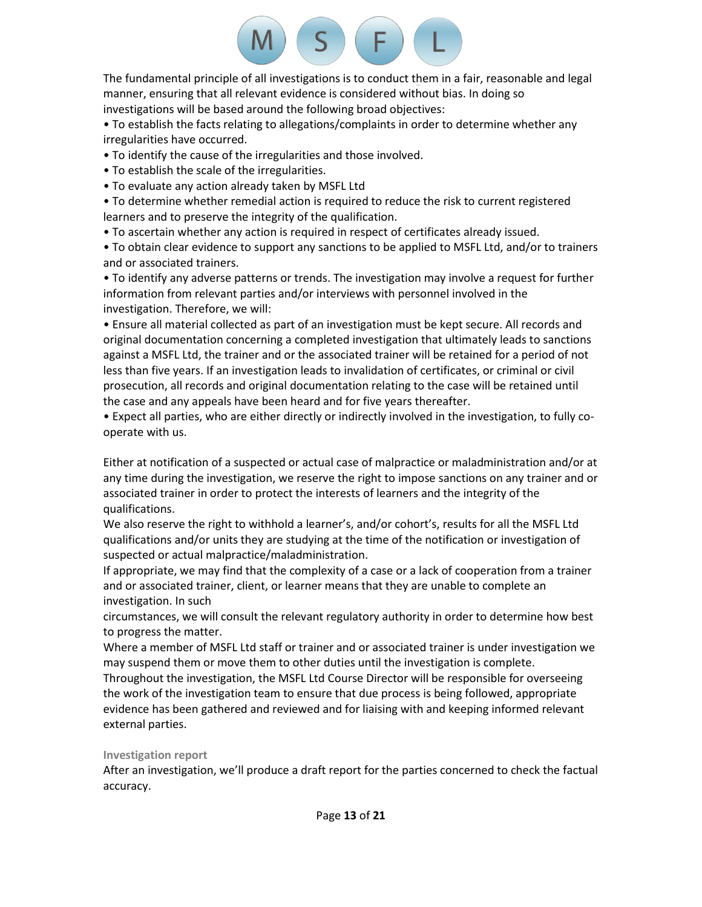# $\sqrt{F}$  $S$

The fundamental principle of all investigations is to conduct them in a fair, reasonable and legal manner, ensuring that all relevant evidence is considered without bias. In doing so investigations will be based around the following broad objectives:

• To establish the facts relating to allegations/complaints in order to determine whether any irregularities have occurred.

• To identify the cause of the irregularities and those involved.

• To establish the scale of the irregularities.

• To evaluate any action already taken by MSFL Ltd

• To determine whether remedial action is required to reduce the risk to current registered learners and to preserve the integrity of the qualification.

• To ascertain whether any action is required in respect of certificates already issued.

• To obtain clear evidence to support any sanctions to be applied to MSFL Ltd, and/or to trainers and or associated trainers.

• To identify any adverse patterns or trends. The investigation may involve a request for further information from relevant parties and/or interviews with personnel involved in the investigation. Therefore, we will:

• Ensure all material collected as part of an investigation must be kept secure. All records and original documentation concerning a completed investigation that ultimately leads to sanctions against a MSFL Ltd, the trainer and or the associated trainer will be retained for a period of not less than five years. If an investigation leads to invalidation of certificates, or criminal or civil prosecution, all records and original documentation relating to the case will be retained until the case and any appeals have been heard and for five years thereafter.

• Expect all parties, who are either directly or indirectly involved in the investigation, to fully cooperate with us.

Either at notification of a suspected or actual case of malpractice or maladministration and/or at any time during the investigation, we reserve the right to impose sanctions on any trainer and or associated trainer in order to protect the interests of learners and the integrity of the qualifications.

We also reserve the right to withhold a learner's, and/or cohort's, results for all the MSFL Ltd qualifications and/or units they are studying at the time of the notification or investigation of suspected or actual malpractice/maladministration.

If appropriate, we may find that the complexity of a case or a lack of cooperation from a trainer and or associated trainer, client, or learner means that they are unable to complete an investigation. In such

circumstances, we will consult the relevant regulatory authority in order to determine how best to progress the matter.

Where a member of MSFL Ltd staff or trainer and or associated trainer is under investigation we may suspend them or move them to other duties until the investigation is complete.

Throughout the investigation, the MSFL Ltd Course Director will be responsible for overseeing the work of the investigation team to ensure that due process is being followed, appropriate evidence has been gathered and reviewed and for liaising with and keeping informed relevant external parties.

# **Investigation report**

After an investigation, we'll produce a draft report for the parties concerned to check the factual accuracy.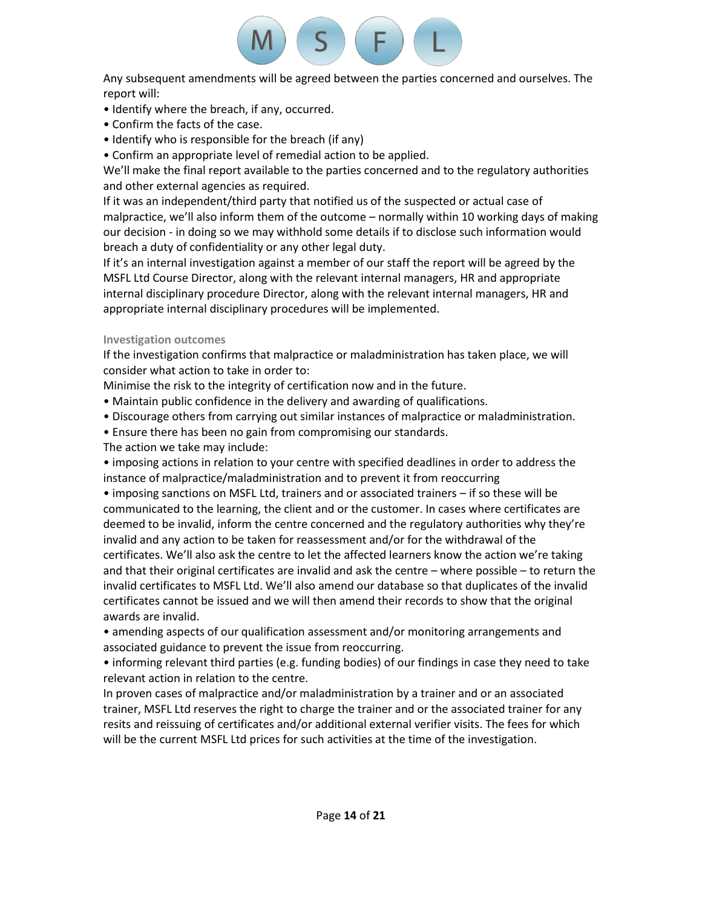# F.

Any subsequent amendments will be agreed between the parties concerned and ourselves. The report will:

- Identify where the breach, if any, occurred.
- Confirm the facts of the case.
- Identify who is responsible for the breach (if any)
- Confirm an appropriate level of remedial action to be applied.

We'll make the final report available to the parties concerned and to the regulatory authorities and other external agencies as required.

If it was an independent/third party that notified us of the suspected or actual case of malpractice, we'll also inform them of the outcome – normally within 10 working days of making our decision - in doing so we may withhold some details if to disclose such information would breach a duty of confidentiality or any other legal duty.

If it's an internal investigation against a member of our staff the report will be agreed by the MSFL Ltd Course Director, along with the relevant internal managers, HR and appropriate internal disciplinary procedure Director, along with the relevant internal managers, HR and appropriate internal disciplinary procedures will be implemented.

# **Investigation outcomes**

If the investigation confirms that malpractice or maladministration has taken place, we will consider what action to take in order to:

Minimise the risk to the integrity of certification now and in the future.

- Maintain public confidence in the delivery and awarding of qualifications.
- Discourage others from carrying out similar instances of malpractice or maladministration.
- Ensure there has been no gain from compromising our standards.
- The action we take may include:

• imposing actions in relation to your centre with specified deadlines in order to address the instance of malpractice/maladministration and to prevent it from reoccurring

• imposing sanctions on MSFL Ltd, trainers and or associated trainers – if so these will be communicated to the learning, the client and or the customer. In cases where certificates are deemed to be invalid, inform the centre concerned and the regulatory authorities why they're invalid and any action to be taken for reassessment and/or for the withdrawal of the certificates. We'll also ask the centre to let the affected learners know the action we're taking and that their original certificates are invalid and ask the centre – where possible – to return the invalid certificates to MSFL Ltd. We'll also amend our database so that duplicates of the invalid certificates cannot be issued and we will then amend their records to show that the original awards are invalid.

• amending aspects of our qualification assessment and/or monitoring arrangements and associated guidance to prevent the issue from reoccurring.

• informing relevant third parties (e.g. funding bodies) of our findings in case they need to take relevant action in relation to the centre.

In proven cases of malpractice and/or maladministration by a trainer and or an associated trainer, MSFL Ltd reserves the right to charge the trainer and or the associated trainer for any resits and reissuing of certificates and/or additional external verifier visits. The fees for which will be the current MSFL Ltd prices for such activities at the time of the investigation.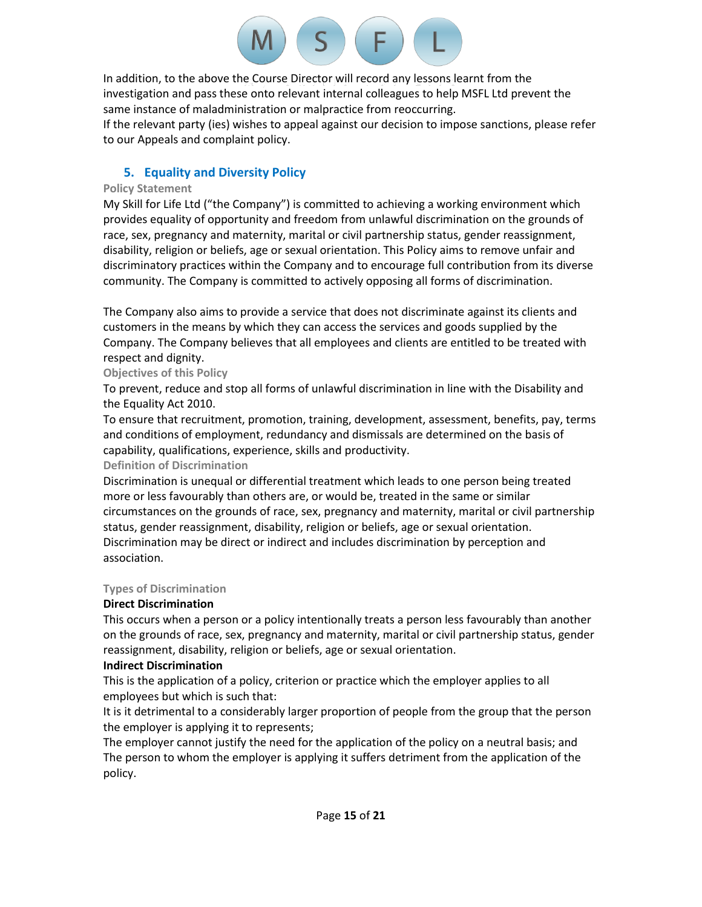In addition, to the above the Course Director will record any lessons learnt from the investigation and pass these onto relevant internal colleagues to help MSFL Ltd prevent the same instance of maladministration or malpractice from reoccurring. If the relevant party (ies) wishes to appeal against our decision to impose sanctions, please refer to our Appeals and complaint policy.

 $S$ 

 $( F )$ 

# **5. Equality and Diversity Policy**

# **Policy Statement**

My Skill for Life Ltd ("the Company") is committed to achieving a working environment which provides equality of opportunity and freedom from unlawful discrimination on the grounds of race, sex, pregnancy and maternity, marital or civil partnership status, gender reassignment, disability, religion or beliefs, age or sexual orientation. This Policy aims to remove unfair and discriminatory practices within the Company and to encourage full contribution from its diverse community. The Company is committed to actively opposing all forms of discrimination.

The Company also aims to provide a service that does not discriminate against its clients and customers in the means by which they can access the services and goods supplied by the Company. The Company believes that all employees and clients are entitled to be treated with respect and dignity.

**Objectives of this Policy**

To prevent, reduce and stop all forms of unlawful discrimination in line with the Disability and the Equality Act 2010.

To ensure that recruitment, promotion, training, development, assessment, benefits, pay, terms and conditions of employment, redundancy and dismissals are determined on the basis of capability, qualifications, experience, skills and productivity.

# **Definition of Discrimination**

Discrimination is unequal or differential treatment which leads to one person being treated more or less favourably than others are, or would be, treated in the same or similar circumstances on the grounds of race, sex, pregnancy and maternity, marital or civil partnership status, gender reassignment, disability, religion or beliefs, age or sexual orientation. Discrimination may be direct or indirect and includes discrimination by perception and association.

# **Types of Discrimination**

# **Direct Discrimination**

This occurs when a person or a policy intentionally treats a person less favourably than another on the grounds of race, sex, pregnancy and maternity, marital or civil partnership status, gender reassignment, disability, religion or beliefs, age or sexual orientation.

# **Indirect Discrimination**

This is the application of a policy, criterion or practice which the employer applies to all employees but which is such that:

It is it detrimental to a considerably larger proportion of people from the group that the person the employer is applying it to represents;

The employer cannot justify the need for the application of the policy on a neutral basis; and The person to whom the employer is applying it suffers detriment from the application of the policy.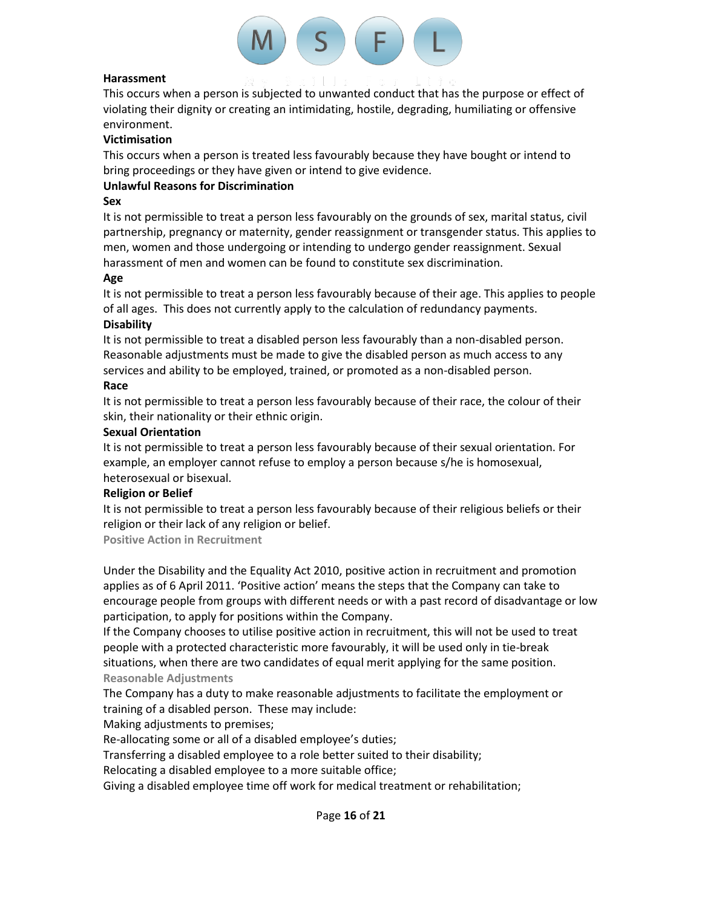

## **Harassment**

This occurs when a person is subjected to unwanted conduct that has the purpose or effect of violating their dignity or creating an intimidating, hostile, degrading, humiliating or offensive environment.

# **Victimisation**

This occurs when a person is treated less favourably because they have bought or intend to bring proceedings or they have given or intend to give evidence.

# **Unlawful Reasons for Discrimination**

# **Sex**

It is not permissible to treat a person less favourably on the grounds of sex, marital status, civil partnership, pregnancy or maternity, gender reassignment or transgender status. This applies to men, women and those undergoing or intending to undergo gender reassignment. Sexual harassment of men and women can be found to constitute sex discrimination.

# **Age**

It is not permissible to treat a person less favourably because of their age. This applies to people of all ages. This does not currently apply to the calculation of redundancy payments. **Disability**

# It is not permissible to treat a disabled person less favourably than a non-disabled person. Reasonable adjustments must be made to give the disabled person as much access to any services and ability to be employed, trained, or promoted as a non-disabled person.

### **Race**

It is not permissible to treat a person less favourably because of their race, the colour of their skin, their nationality or their ethnic origin.

### **Sexual Orientation**

It is not permissible to treat a person less favourably because of their sexual orientation. For example, an employer cannot refuse to employ a person because s/he is homosexual, heterosexual or bisexual.

# **Religion or Belief**

It is not permissible to treat a person less favourably because of their religious beliefs or their religion or their lack of any religion or belief.

**Positive Action in Recruitment**

Under the Disability and the Equality Act 2010, positive action in recruitment and promotion applies as of 6 April 2011. 'Positive action' means the steps that the Company can take to encourage people from groups with different needs or with a past record of disadvantage or low participation, to apply for positions within the Company.

If the Company chooses to utilise positive action in recruitment, this will not be used to treat people with a protected characteristic more favourably, it will be used only in tie-break situations, when there are two candidates of equal merit applying for the same position. **Reasonable Adjustments**

The Company has a duty to make reasonable adjustments to facilitate the employment or training of a disabled person. These may include:

Making adjustments to premises;

Re-allocating some or all of a disabled employee's duties;

Transferring a disabled employee to a role better suited to their disability;

Relocating a disabled employee to a more suitable office;

Giving a disabled employee time off work for medical treatment or rehabilitation;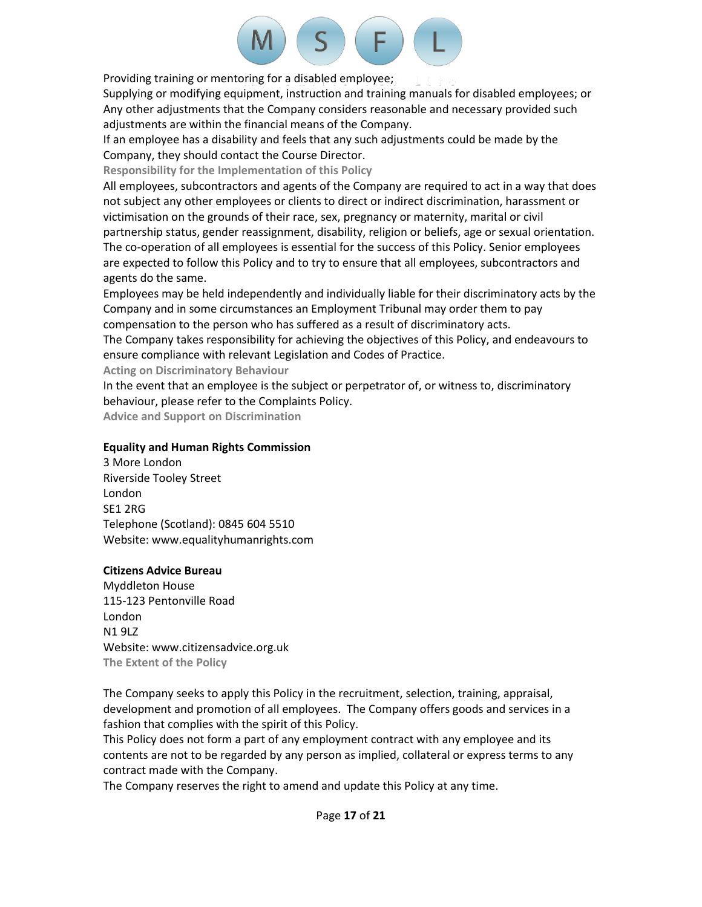# F.

Providing training or mentoring for a disabled employee;

Supplying or modifying equipment, instruction and training manuals for disabled employees; or Any other adjustments that the Company considers reasonable and necessary provided such adjustments are within the financial means of the Company.

If an employee has a disability and feels that any such adjustments could be made by the Company, they should contact the Course Director.

**Responsibility for the Implementation of this Policy**

All employees, subcontractors and agents of the Company are required to act in a way that does not subject any other employees or clients to direct or indirect discrimination, harassment or victimisation on the grounds of their race, sex, pregnancy or maternity, marital or civil partnership status, gender reassignment, disability, religion or beliefs, age or sexual orientation. The co-operation of all employees is essential for the success of this Policy. Senior employees are expected to follow this Policy and to try to ensure that all employees, subcontractors and agents do the same.

Employees may be held independently and individually liable for their discriminatory acts by the Company and in some circumstances an Employment Tribunal may order them to pay compensation to the person who has suffered as a result of discriminatory acts.

The Company takes responsibility for achieving the objectives of this Policy, and endeavours to ensure compliance with relevant Legislation and Codes of Practice.

**Acting on Discriminatory Behaviour**

In the event that an employee is the subject or perpetrator of, or witness to, discriminatory behaviour, please refer to the Complaints Policy.

**Advice and Support on Discrimination**

# **Equality and Human Rights Commission**

3 More London Riverside Tooley Street London SE1 2RG Telephone (Scotland): 0845 604 5510 Website: www.equalityhumanrights.com

# **Citizens Advice Bureau**

Myddleton House 115-123 Pentonville Road London N1 9LZ Website: www.citizensadvice.org.uk **The Extent of the Policy**

The Company seeks to apply this Policy in the recruitment, selection, training, appraisal, development and promotion of all employees. The Company offers goods and services in a fashion that complies with the spirit of this Policy.

This Policy does not form a part of any employment contract with any employee and its contents are not to be regarded by any person as implied, collateral or express terms to any contract made with the Company.

The Company reserves the right to amend and update this Policy at any time.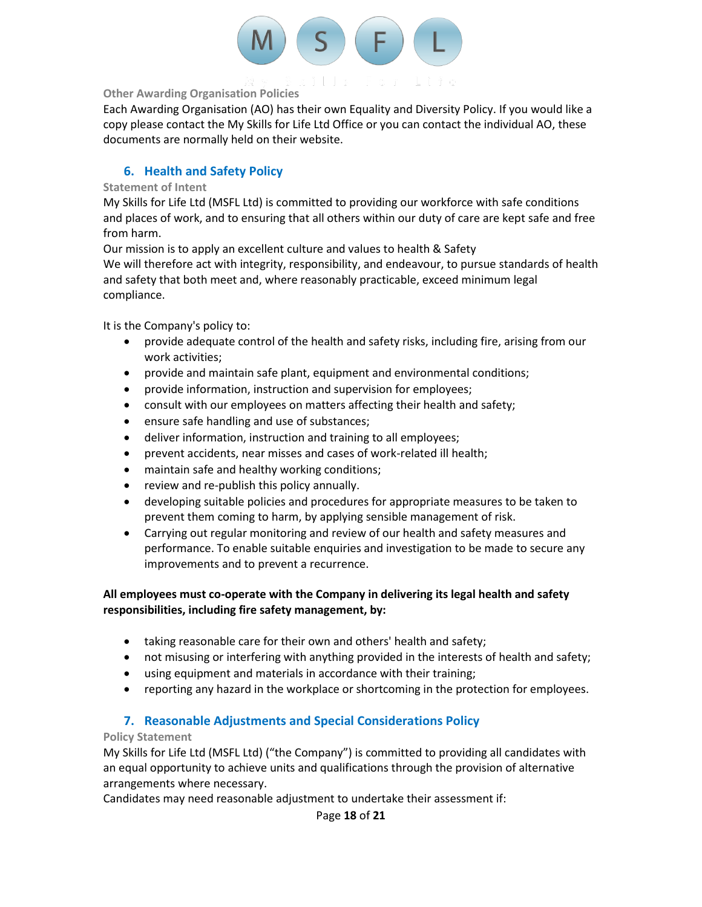

# **Other Awarding Organisation Policies**

Each Awarding Organisation (AO) has their own Equality and Diversity Policy. If you would like a copy please contact the My Skills for Life Ltd Office or you can contact the individual AO, these documents are normally held on their website.

# **6. Health and Safety Policy**

# **Statement of Intent**

My Skills for Life Ltd (MSFL Ltd) is committed to providing our workforce with safe conditions and places of work, and to ensuring that all others within our duty of care are kept safe and free from harm.

Our mission is to apply an excellent culture and values to health & Safety

We will therefore act with integrity, responsibility, and endeavour, to pursue standards of health and safety that both meet and, where reasonably practicable, exceed minimum legal compliance.

It is the Company's policy to:

- provide adequate control of the health and safety risks, including fire, arising from our work activities;
- provide and maintain safe plant, equipment and environmental conditions;
- provide information, instruction and supervision for employees;
- consult with our employees on matters affecting their health and safety;
- ensure safe handling and use of substances;
- deliver information, instruction and training to all employees;
- prevent accidents, near misses and cases of work-related ill health;
- maintain safe and healthy working conditions;
- review and re-publish this policy annually.
- developing suitable policies and procedures for appropriate measures to be taken to prevent them coming to harm, by applying sensible management of risk.
- Carrying out regular monitoring and review of our health and safety measures and performance. To enable suitable enquiries and investigation to be made to secure any improvements and to prevent a recurrence.

# **All employees must co-operate with the Company in delivering its legal health and safety responsibilities, including fire safety management, by:**

- taking reasonable care for their own and others' health and safety;
- not misusing or interfering with anything provided in the interests of health and safety;
- using equipment and materials in accordance with their training;
- reporting any hazard in the workplace or shortcoming in the protection for employees.

# **7. Reasonable Adjustments and Special Considerations Policy**

# **Policy Statement**

My Skills for Life Ltd (MSFL Ltd) ("the Company") is committed to providing all candidates with an equal opportunity to achieve units and qualifications through the provision of alternative arrangements where necessary.

Candidates may need reasonable adjustment to undertake their assessment if: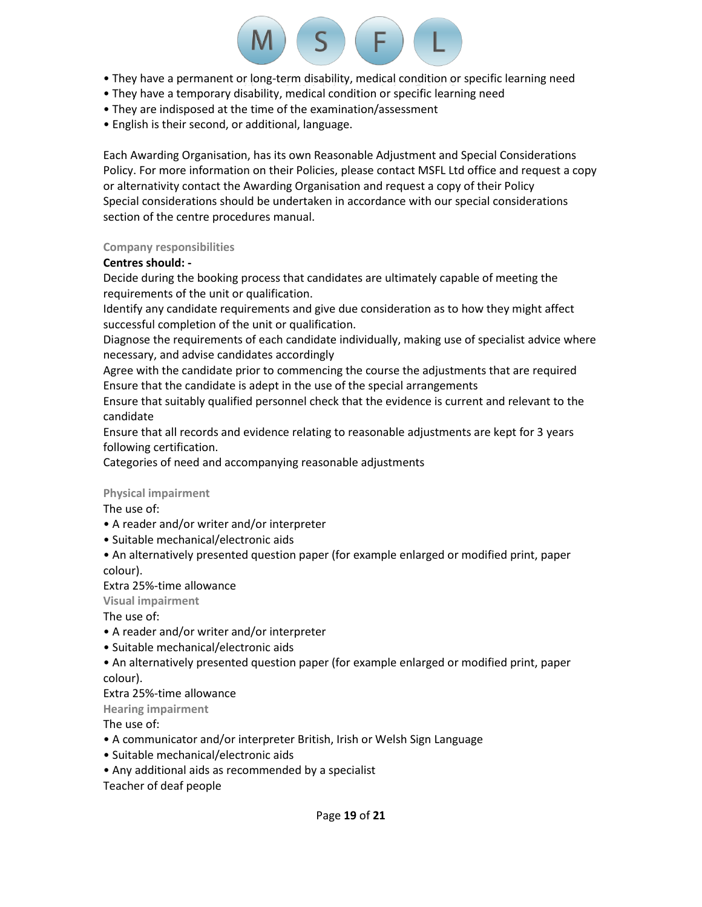

- They have a permanent or long-term disability, medical condition or specific learning need
- They have a temporary disability, medical condition or specific learning need
- They are indisposed at the time of the examination/assessment
- English is their second, or additional, language.

Each Awarding Organisation, has its own Reasonable Adjustment and Special Considerations Policy. For more information on their Policies, please contact MSFL Ltd office and request a copy or alternativity contact the Awarding Organisation and request a copy of their Policy Special considerations should be undertaken in accordance with our special considerations section of the centre procedures manual.

# **Company responsibilities**

# **Centres should: -**

Decide during the booking process that candidates are ultimately capable of meeting the requirements of the unit or qualification.

Identify any candidate requirements and give due consideration as to how they might affect successful completion of the unit or qualification.

Diagnose the requirements of each candidate individually, making use of specialist advice where necessary, and advise candidates accordingly

Agree with the candidate prior to commencing the course the adjustments that are required Ensure that the candidate is adept in the use of the special arrangements

Ensure that suitably qualified personnel check that the evidence is current and relevant to the candidate

Ensure that all records and evidence relating to reasonable adjustments are kept for 3 years following certification.

Categories of need and accompanying reasonable adjustments

# **Physical impairment**

The use of:

- A reader and/or writer and/or interpreter
- Suitable mechanical/electronic aids
- An alternatively presented question paper (for example enlarged or modified print, paper colour).

Extra 25%-time allowance

**Visual impairment**

The use of:

- A reader and/or writer and/or interpreter
- Suitable mechanical/electronic aids
- An alternatively presented question paper (for example enlarged or modified print, paper colour).

Extra 25%-time allowance

**Hearing impairment**

The use of:

- A communicator and/or interpreter British, Irish or Welsh Sign Language
- Suitable mechanical/electronic aids
- Any additional aids as recommended by a specialist

Teacher of deaf people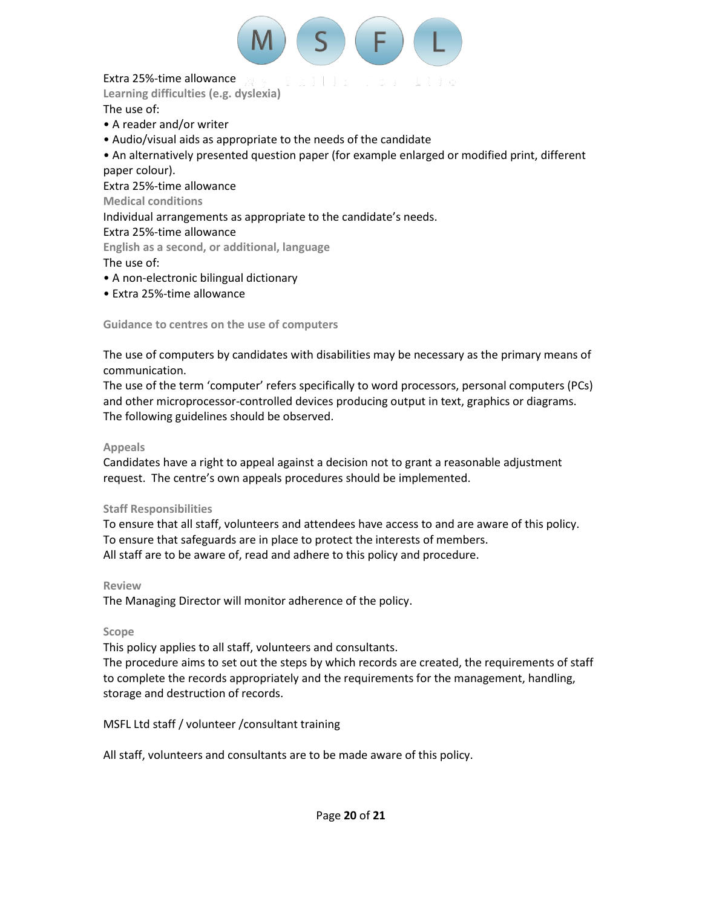

# Extra 25%-time allowance

**Learning difficulties (e.g. dyslexia)**

The use of:

- A reader and/or writer
- Audio/visual aids as appropriate to the needs of the candidate

• An alternatively presented question paper (for example enlarged or modified print, different paper colour).

Extra 25%-time allowance

**Medical conditions**

Individual arrangements as appropriate to the candidate's needs.

# Extra 25%-time allowance

**English as a second, or additional, language**

The use of:

- A non-electronic bilingual dictionary
- Extra 25%-time allowance

**Guidance to centres on the use of computers**

The use of computers by candidates with disabilities may be necessary as the primary means of communication.

The use of the term 'computer' refers specifically to word processors, personal computers (PCs) and other microprocessor-controlled devices producing output in text, graphics or diagrams. The following guidelines should be observed.

# **Appeals**

Candidates have a right to appeal against a decision not to grant a reasonable adjustment request. The centre's own appeals procedures should be implemented.

# **Staff Responsibilities**

To ensure that all staff, volunteers and attendees have access to and are aware of this policy. To ensure that safeguards are in place to protect the interests of members. All staff are to be aware of, read and adhere to this policy and procedure.

# **Review**

The Managing Director will monitor adherence of the policy.

# **Scope**

This policy applies to all staff, volunteers and consultants.

The procedure aims to set out the steps by which records are created, the requirements of staff to complete the records appropriately and the requirements for the management, handling, storage and destruction of records.

MSFL Ltd staff / volunteer /consultant training

All staff, volunteers and consultants are to be made aware of this policy.